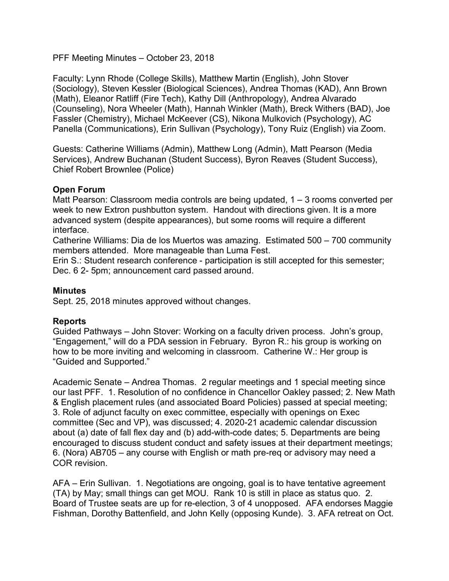PFF Meeting Minutes – October 23, 2018

Faculty: Lynn Rhode (College Skills), Matthew Martin (English), John Stover (Sociology), Steven Kessler (Biological Sciences), Andrea Thomas (KAD), Ann Brown (Math), Eleanor Ratliff (Fire Tech), Kathy Dill (Anthropology), Andrea Alvarado (Counseling), Nora Wheeler (Math), Hannah Winkler (Math), Breck Withers (BAD), Joe Fassler (Chemistry), Michael McKeever (CS), Nikona Mulkovich (Psychology), AC Panella (Communications), Erin Sullivan (Psychology), Tony Ruiz (English) via Zoom.

Guests: Catherine Williams (Admin), Matthew Long (Admin), Matt Pearson (Media Services), Andrew Buchanan (Student Success), Byron Reaves (Student Success), Chief Robert Brownlee (Police)

# **Open Forum**

Matt Pearson: Classroom media controls are being updated,  $1 - 3$  rooms converted per week to new Extron pushbutton system. Handout with directions given. It is a more advanced system (despite appearances), but some rooms will require a different interface.

Catherine Williams: Dia de los Muertos was amazing. Estimated 500 – 700 community members attended. More manageable than Luma Fest.

Erin S.: Student research conference - participation is still accepted for this semester; Dec. 6 2- 5pm; announcement card passed around.

## **Minutes**

Sept. 25, 2018 minutes approved without changes.

## **Reports**

Guided Pathways – John Stover: Working on a faculty driven process. John's group, "Engagement," will do a PDA session in February. Byron R.: his group is working on how to be more inviting and welcoming in classroom. Catherine W.: Her group is "Guided and Supported."

Academic Senate – Andrea Thomas. 2 regular meetings and 1 special meeting since our last PFF. 1. Resolution of no confidence in Chancellor Oakley passed; 2. New Math & English placement rules (and associated Board Policies) passed at special meeting; 3. Role of adjunct faculty on exec committee, especially with openings on Exec committee (Sec and VP), was discussed; 4. 2020-21 academic calendar discussion about (a) date of fall flex day and (b) add-with-code dates; 5. Departments are being encouraged to discuss student conduct and safety issues at their department meetings; 6. (Nora) AB705 – any course with English or math pre-req or advisory may need a COR revision.

AFA – Erin Sullivan. 1. Negotiations are ongoing, goal is to have tentative agreement (TA) by May; small things can get MOU. Rank 10 is still in place as status quo. 2. Board of Trustee seats are up for re-election, 3 of 4 unopposed. AFA endorses Maggie Fishman, Dorothy Battenfield, and John Kelly (opposing Kunde). 3. AFA retreat on Oct.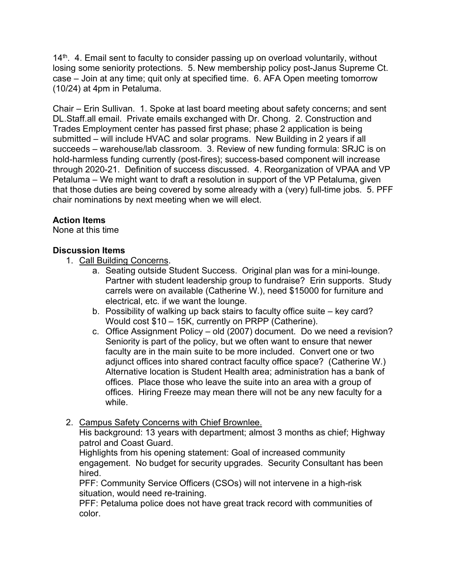$14<sup>th</sup>$ . 4. Email sent to faculty to consider passing up on overload voluntarily, without losing some seniority protections. 5. New membership policy post-Janus Supreme Ct. case – Join at any time; quit only at specified time. 6. AFA Open meeting tomorrow (10/24) at 4pm in Petaluma.

Chair – Erin Sullivan. 1. Spoke at last board meeting about safety concerns; and sent DL.Staff.all email. Private emails exchanged with Dr. Chong. 2. Construction and Trades Employment center has passed first phase; phase 2 application is being submitted – will include HVAC and solar programs. New Building in 2 years if all succeeds – warehouse/lab classroom. 3. Review of new funding formula: SRJC is on hold-harmless funding currently (post-fires); success-based component will increase through 2020-21. Definition of success discussed. 4. Reorganization of VPAA and VP Petaluma – We might want to draft a resolution in support of the VP Petaluma, given that those duties are being covered by some already with a (very) full-time jobs. 5. PFF chair nominations by next meeting when we will elect.

# **Action Items**

None at this time

# **Discussion Items**

- 1. Call Building Concerns.
	- a. Seating outside Student Success. Original plan was for a mini-lounge. Partner with student leadership group to fundraise? Erin supports. Study carrels were on available (Catherine W.), need \$15000 for furniture and electrical, etc. if we want the lounge.
	- b. Possibility of walking up back stairs to faculty office suite key card? Would cost \$10 – 15K, currently on PRPP (Catherine).
	- c. Office Assignment Policy old (2007) document. Do we need a revision? Seniority is part of the policy, but we often want to ensure that newer faculty are in the main suite to be more included. Convert one or two adjunct offices into shared contract faculty office space? (Catherine W.) Alternative location is Student Health area; administration has a bank of offices. Place those who leave the suite into an area with a group of offices. Hiring Freeze may mean there will not be any new faculty for a while.
- 2. Campus Safety Concerns with Chief Brownlee.

His background: 13 years with department; almost 3 months as chief; Highway patrol and Coast Guard.

Highlights from his opening statement: Goal of increased community engagement. No budget for security upgrades. Security Consultant has been hired.

PFF: Community Service Officers (CSOs) will not intervene in a high-risk situation, would need re-training.

PFF: Petaluma police does not have great track record with communities of color.